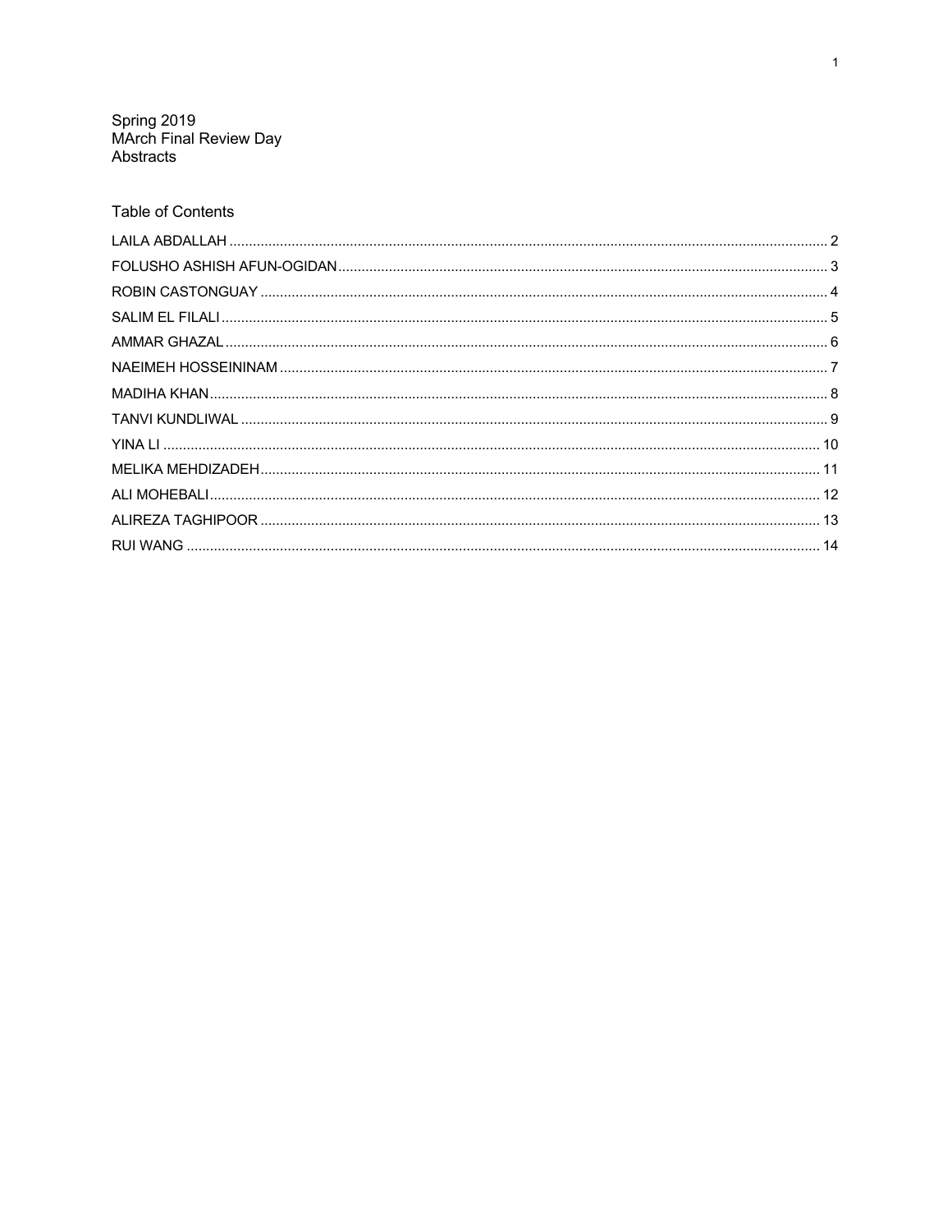Spring 2019<br>MArch Final Review Day<br>Abstracts

# **Table of Contents**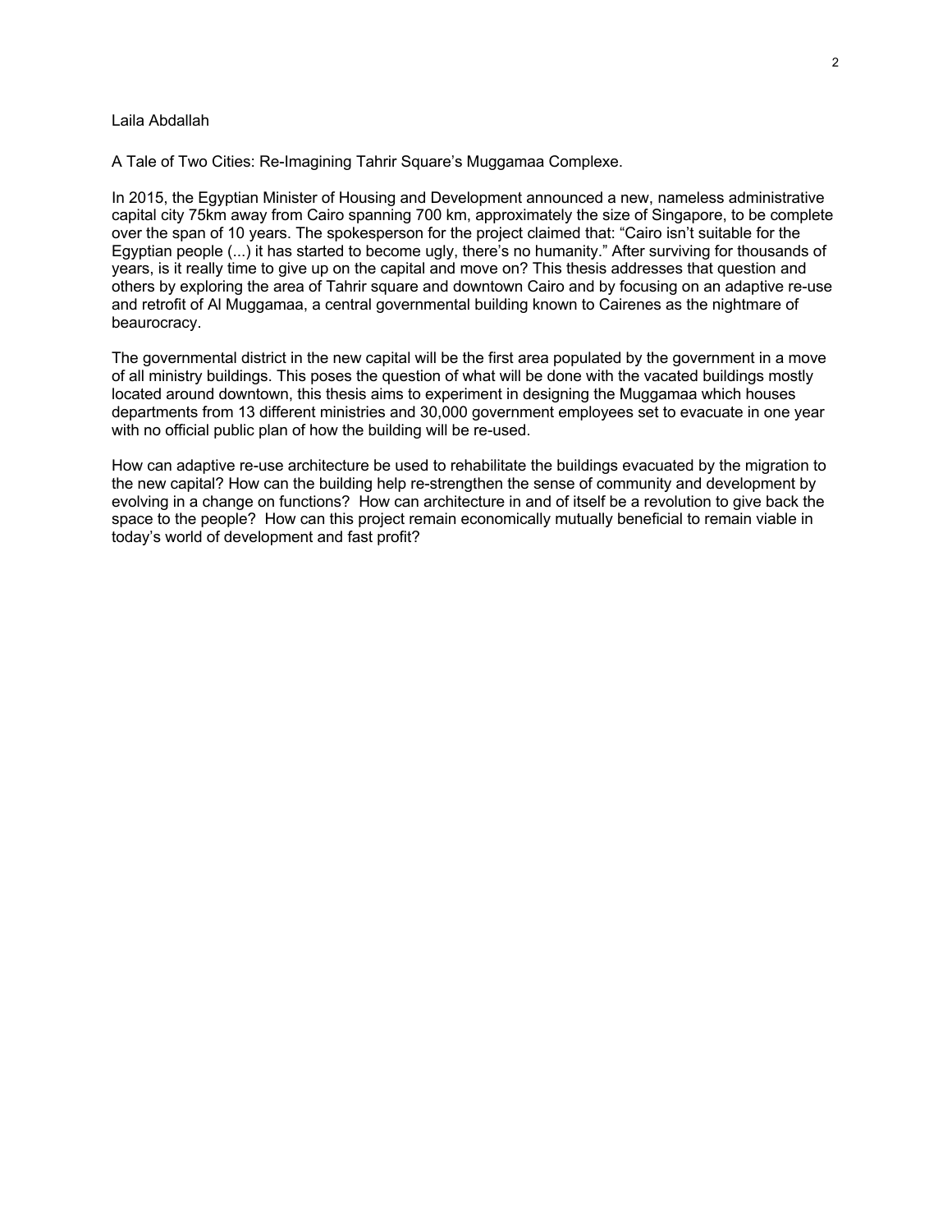### Laila Abdallah

A Tale of Two Cities: Re-Imagining Tahrir Square's Muggamaa Complexe.

In 2015, the Egyptian Minister of Housing and Development announced a new, nameless administrative capital city 75km away from Cairo spanning 700 km, approximately the size of Singapore, to be complete over the span of 10 years. The spokesperson for the project claimed that: "Cairo isn't suitable for the Egyptian people (...) it has started to become ugly, there's no humanity." After surviving for thousands of years, is it really time to give up on the capital and move on? This thesis addresses that question and others by exploring the area of Tahrir square and downtown Cairo and by focusing on an adaptive re-use and retrofit of Al Muggamaa, a central governmental building known to Cairenes as the nightmare of beaurocracy.

The governmental district in the new capital will be the first area populated by the government in a move of all ministry buildings. This poses the question of what will be done with the vacated buildings mostly located around downtown, this thesis aims to experiment in designing the Muggamaa which houses departments from 13 different ministries and 30,000 government employees set to evacuate in one year with no official public plan of how the building will be re-used.

How can adaptive re-use architecture be used to rehabilitate the buildings evacuated by the migration to the new capital? How can the building help re-strengthen the sense of community and development by evolving in a change on functions? How can architecture in and of itself be a revolution to give back the space to the people? How can this project remain economically mutually beneficial to remain viable in today's world of development and fast profit?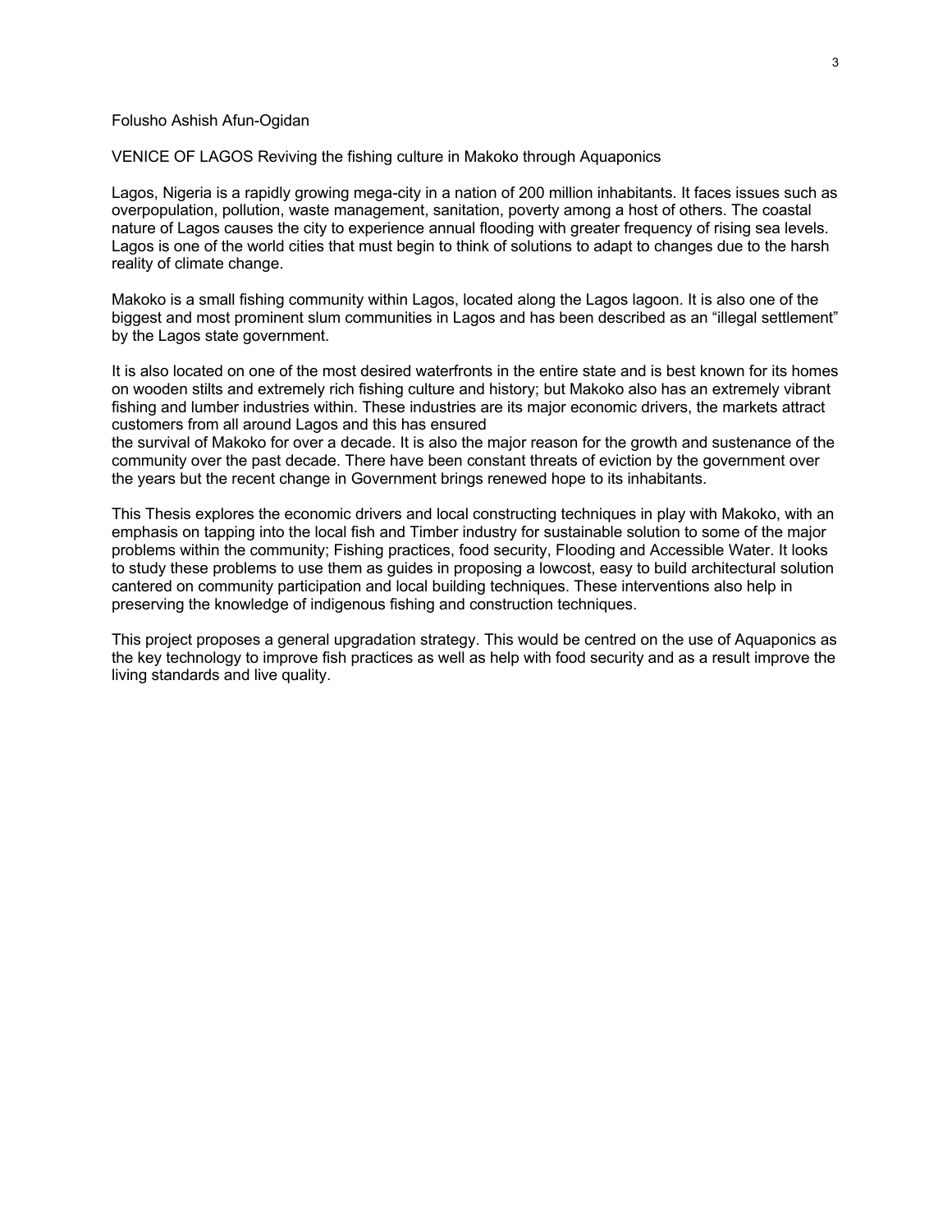### Folusho Ashish Afun-Ogidan

VENICE OF LAGOS Reviving the fishing culture in Makoko through Aquaponics

Lagos, Nigeria is a rapidly growing mega-city in a nation of 200 million inhabitants. It faces issues such as overpopulation, pollution, waste management, sanitation, poverty among a host of others. The coastal nature of Lagos causes the city to experience annual flooding with greater frequency of rising sea levels. Lagos is one of the world cities that must begin to think of solutions to adapt to changes due to the harsh reality of climate change.

Makoko is a small fishing community within Lagos, located along the Lagos lagoon. It is also one of the biggest and most prominent slum communities in Lagos and has been described as an "illegal settlement" by the Lagos state government.

It is also located on one of the most desired waterfronts in the entire state and is best known for its homes on wooden stilts and extremely rich fishing culture and history; but Makoko also has an extremely vibrant fishing and lumber industries within. These industries are its major economic drivers, the markets attract customers from all around Lagos and this has ensured

the survival of Makoko for over a decade. It is also the major reason for the growth and sustenance of the community over the past decade. There have been constant threats of eviction by the government over the years but the recent change in Government brings renewed hope to its inhabitants.

This Thesis explores the economic drivers and local constructing techniques in play with Makoko, with an emphasis on tapping into the local fish and Timber industry for sustainable solution to some of the major problems within the community; Fishing practices, food security, Flooding and Accessible Water. It looks to study these problems to use them as guides in proposing a lowcost, easy to build architectural solution cantered on community participation and local building techniques. These interventions also help in preserving the knowledge of indigenous fishing and construction techniques.

This project proposes a general upgradation strategy. This would be centred on the use of Aquaponics as the key technology to improve fish practices as well as help with food security and as a result improve the living standards and live quality.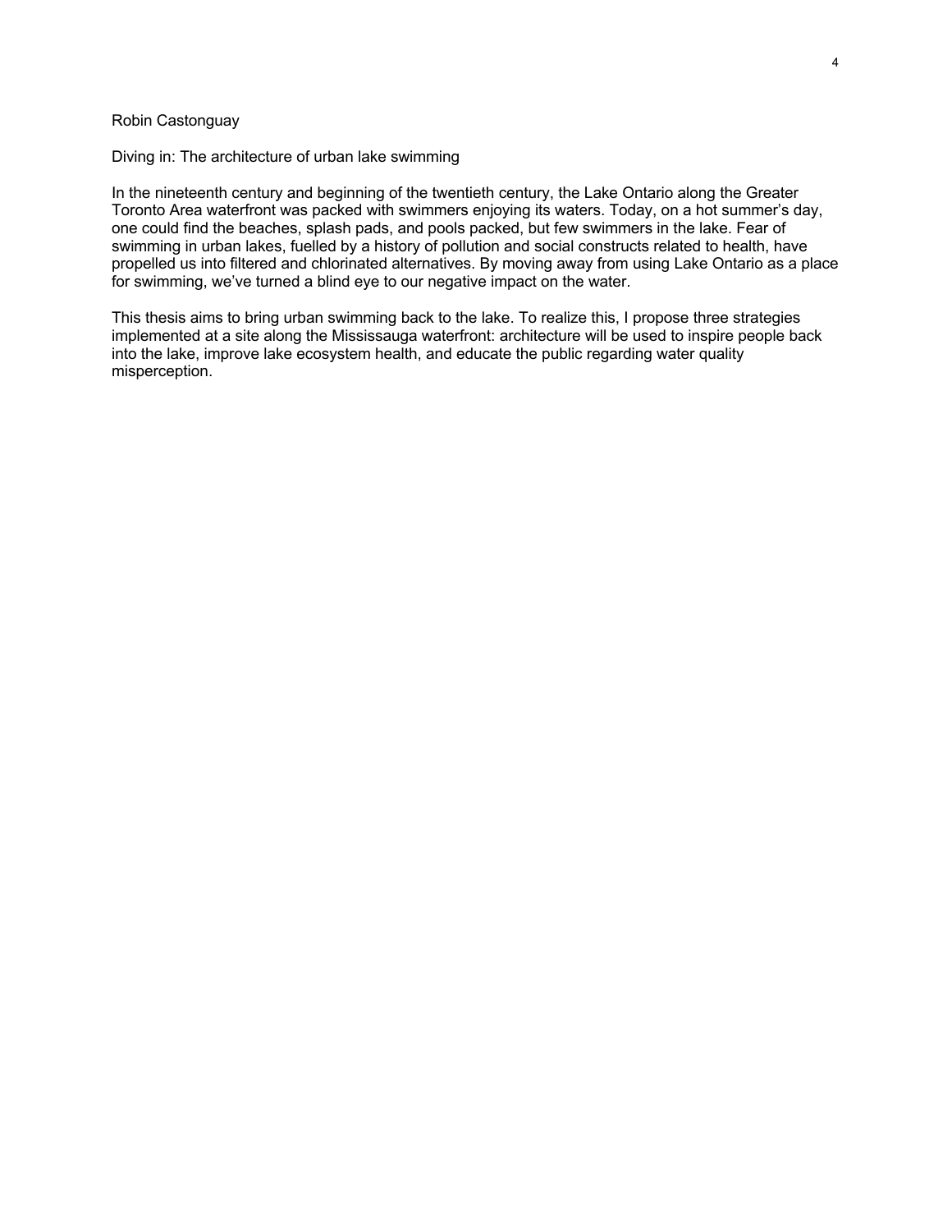# Robin Castonguay

Diving in: The architecture of urban lake swimming

In the nineteenth century and beginning of the twentieth century, the Lake Ontario along the Greater Toronto Area waterfront was packed with swimmers enjoying its waters. Today, on a hot summer's day, one could find the beaches, splash pads, and pools packed, but few swimmers in the lake. Fear of swimming in urban lakes, fuelled by a history of pollution and social constructs related to health, have propelled us into filtered and chlorinated alternatives. By moving away from using Lake Ontario as a place for swimming, we've turned a blind eye to our negative impact on the water.

This thesis aims to bring urban swimming back to the lake. To realize this, I propose three strategies implemented at a site along the Mississauga waterfront: architecture will be used to inspire people back into the lake, improve lake ecosystem health, and educate the public regarding water quality misperception.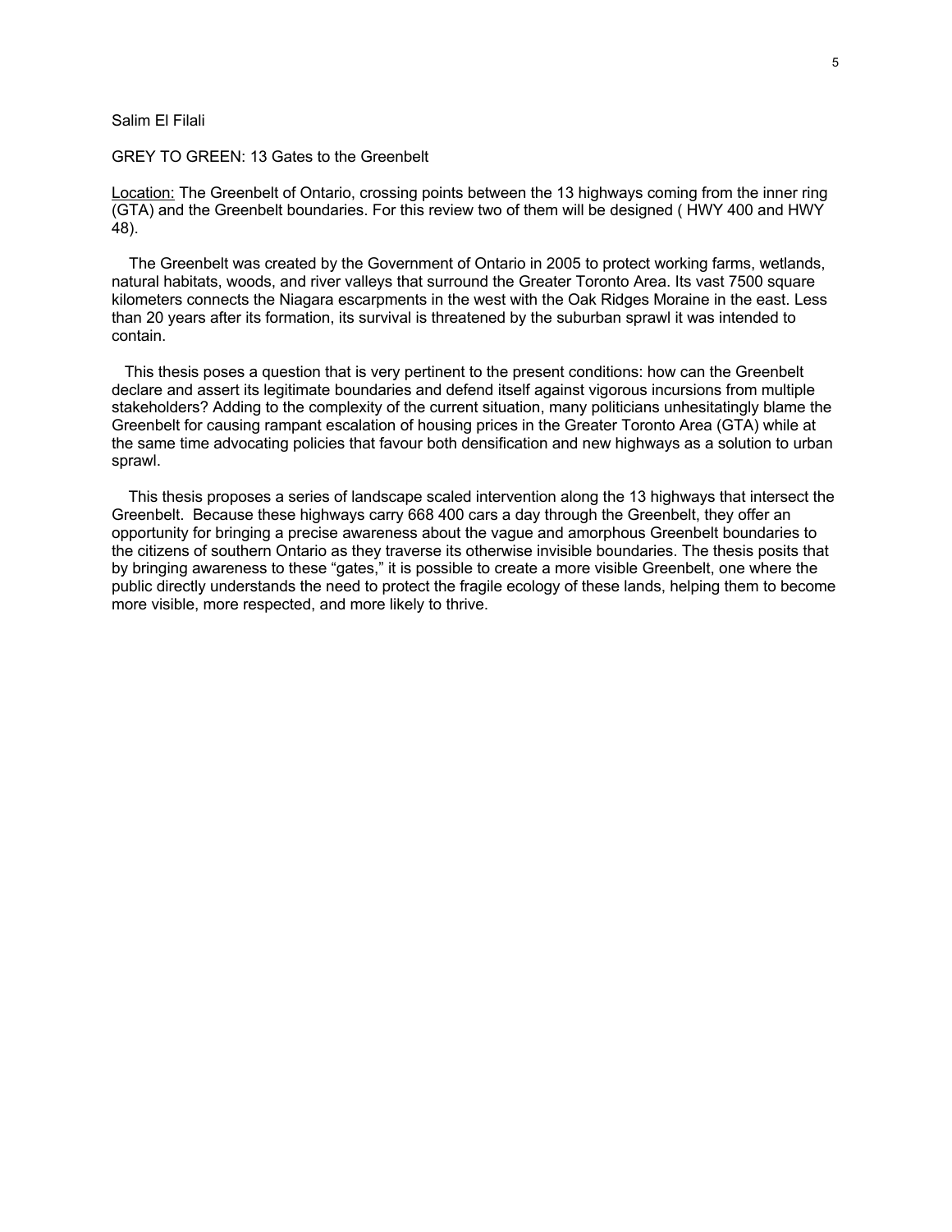### Salim El Filali

### GREY TO GREEN: 13 Gates to the Greenbelt

Location: The Greenbelt of Ontario, crossing points between the 13 highways coming from the inner ring (GTA) and the Greenbelt boundaries. For this review two of them will be designed ( HWY 400 and HWY 48).

 The Greenbelt was created by the Government of Ontario in 2005 to protect working farms, wetlands, natural habitats, woods, and river valleys that surround the Greater Toronto Area. Its vast 7500 square kilometers connects the Niagara escarpments in the west with the Oak Ridges Moraine in the east. Less than 20 years after its formation, its survival is threatened by the suburban sprawl it was intended to contain.

 This thesis poses a question that is very pertinent to the present conditions: how can the Greenbelt declare and assert its legitimate boundaries and defend itself against vigorous incursions from multiple stakeholders? Adding to the complexity of the current situation, many politicians unhesitatingly blame the Greenbelt for causing rampant escalation of housing prices in the Greater Toronto Area (GTA) while at the same time advocating policies that favour both densification and new highways as a solution to urban sprawl.

This thesis proposes a series of landscape scaled intervention along the 13 highways that intersect the Greenbelt. Because these highways carry 668 400 cars a day through the Greenbelt, they offer an opportunity for bringing a precise awareness about the vague and amorphous Greenbelt boundaries to the citizens of southern Ontario as they traverse its otherwise invisible boundaries. The thesis posits that by bringing awareness to these "gates," it is possible to create a more visible Greenbelt, one where the public directly understands the need to protect the fragile ecology of these lands, helping them to become more visible, more respected, and more likely to thrive.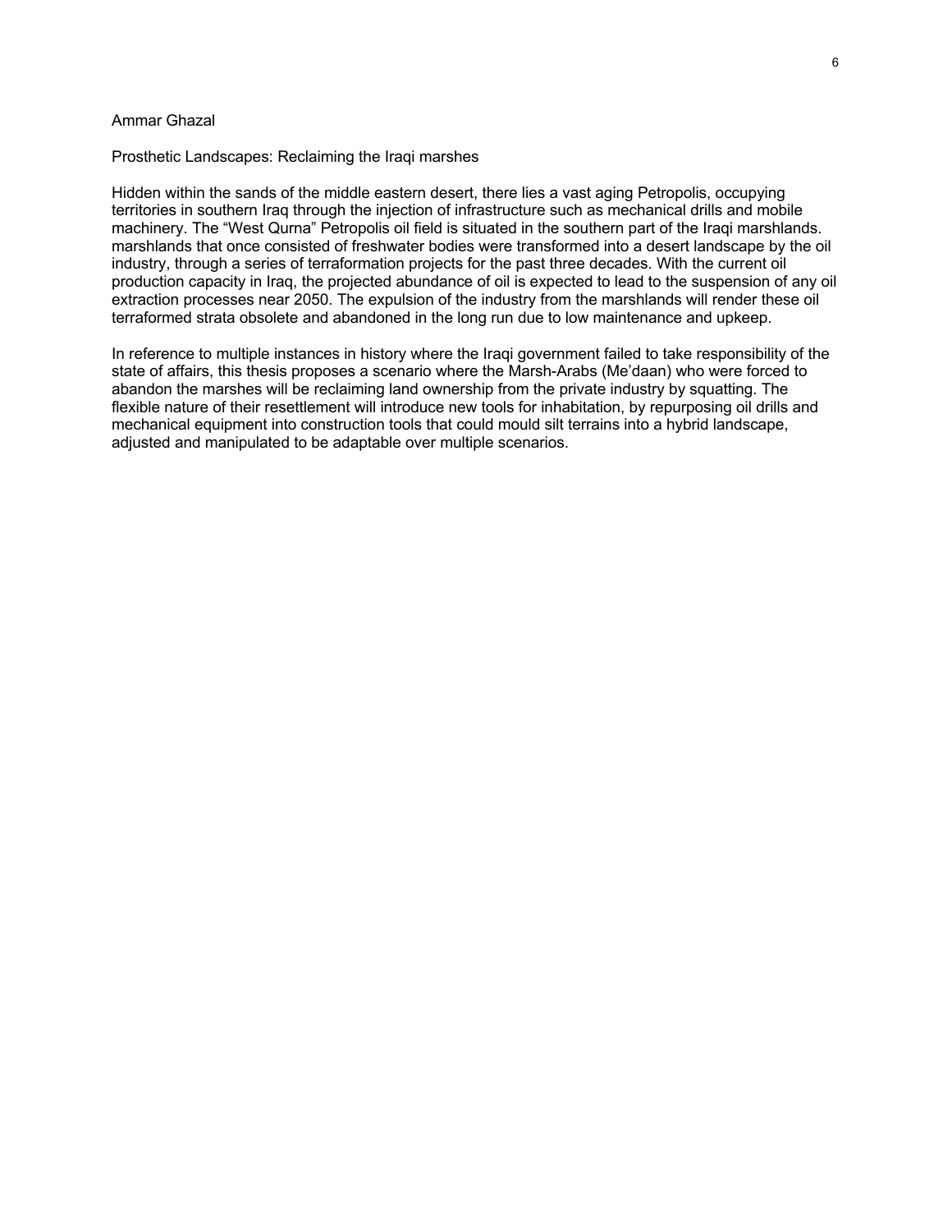# Ammar Ghazal

#### Prosthetic Landscapes: Reclaiming the Iraqi marshes

Hidden within the sands of the middle eastern desert, there lies a vast aging Petropolis, occupying territories in southern Iraq through the injection of infrastructure such as mechanical drills and mobile machinery. The "West Qurna" Petropolis oil field is situated in the southern part of the Iraqi marshlands. marshlands that once consisted of freshwater bodies were transformed into a desert landscape by the oil industry, through a series of terraformation projects for the past three decades. With the current oil production capacity in Iraq, the projected abundance of oil is expected to lead to the suspension of any oil extraction processes near 2050. The expulsion of the industry from the marshlands will render these oil terraformed strata obsolete and abandoned in the long run due to low maintenance and upkeep.

In reference to multiple instances in history where the Iraqi government failed to take responsibility of the state of affairs, this thesis proposes a scenario where the Marsh-Arabs (Me'daan) who were forced to abandon the marshes will be reclaiming land ownership from the private industry by squatting. The flexible nature of their resettlement will introduce new tools for inhabitation, by repurposing oil drills and mechanical equipment into construction tools that could mould silt terrains into a hybrid landscape, adjusted and manipulated to be adaptable over multiple scenarios.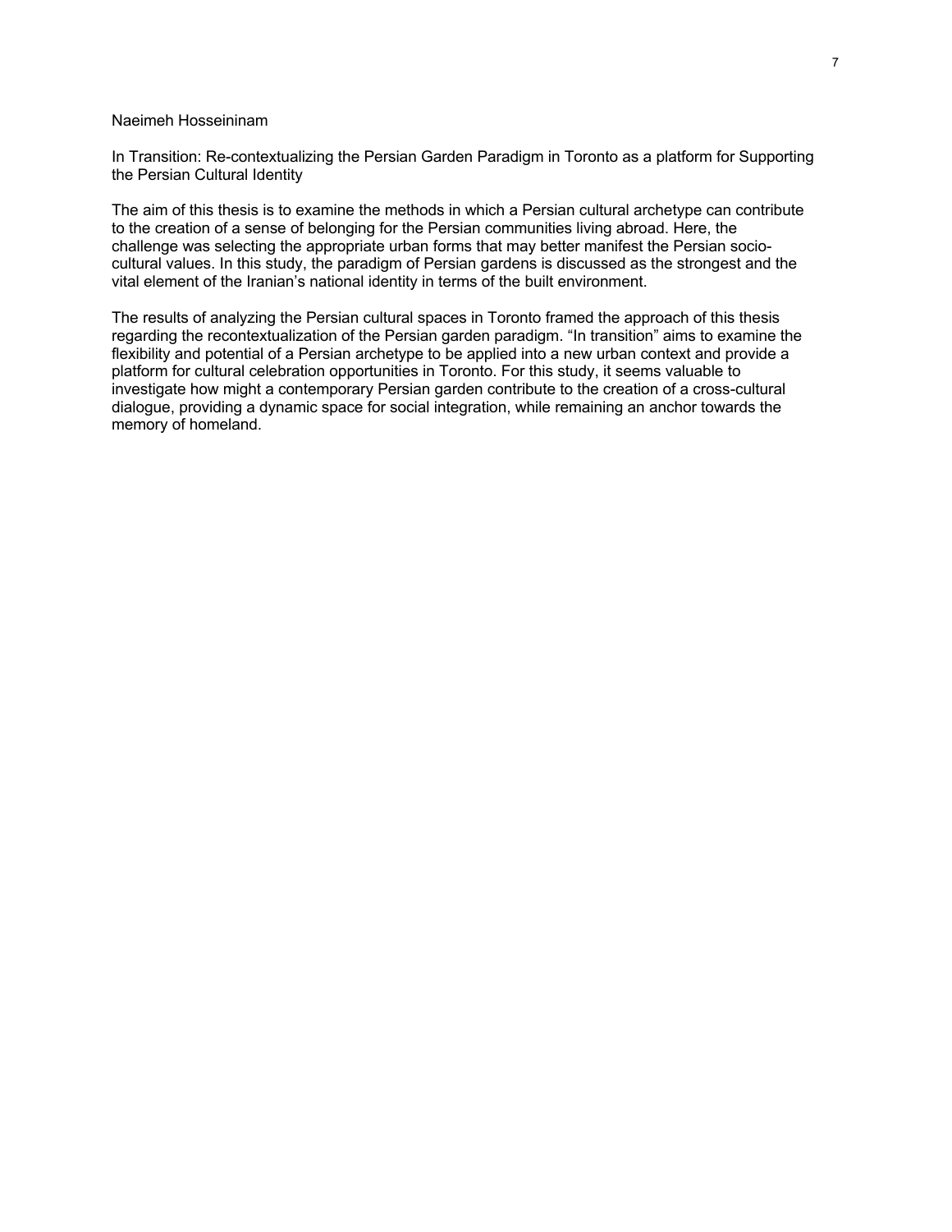### Naeimeh Hosseininam

In Transition: Re-contextualizing the Persian Garden Paradigm in Toronto as a platform for Supporting the Persian Cultural Identity

The aim of this thesis is to examine the methods in which a Persian cultural archetype can contribute to the creation of a sense of belonging for the Persian communities living abroad. Here, the challenge was selecting the appropriate urban forms that may better manifest the Persian sociocultural values. In this study, the paradigm of Persian gardens is discussed as the strongest and the vital element of the Iranian's national identity in terms of the built environment.

The results of analyzing the Persian cultural spaces in Toronto framed the approach of this thesis regarding the recontextualization of the Persian garden paradigm. "In transition" aims to examine the flexibility and potential of a Persian archetype to be applied into a new urban context and provide a platform for cultural celebration opportunities in Toronto. For this study, it seems valuable to investigate how might a contemporary Persian garden contribute to the creation of a cross-cultural dialogue, providing a dynamic space for social integration, while remaining an anchor towards the memory of homeland.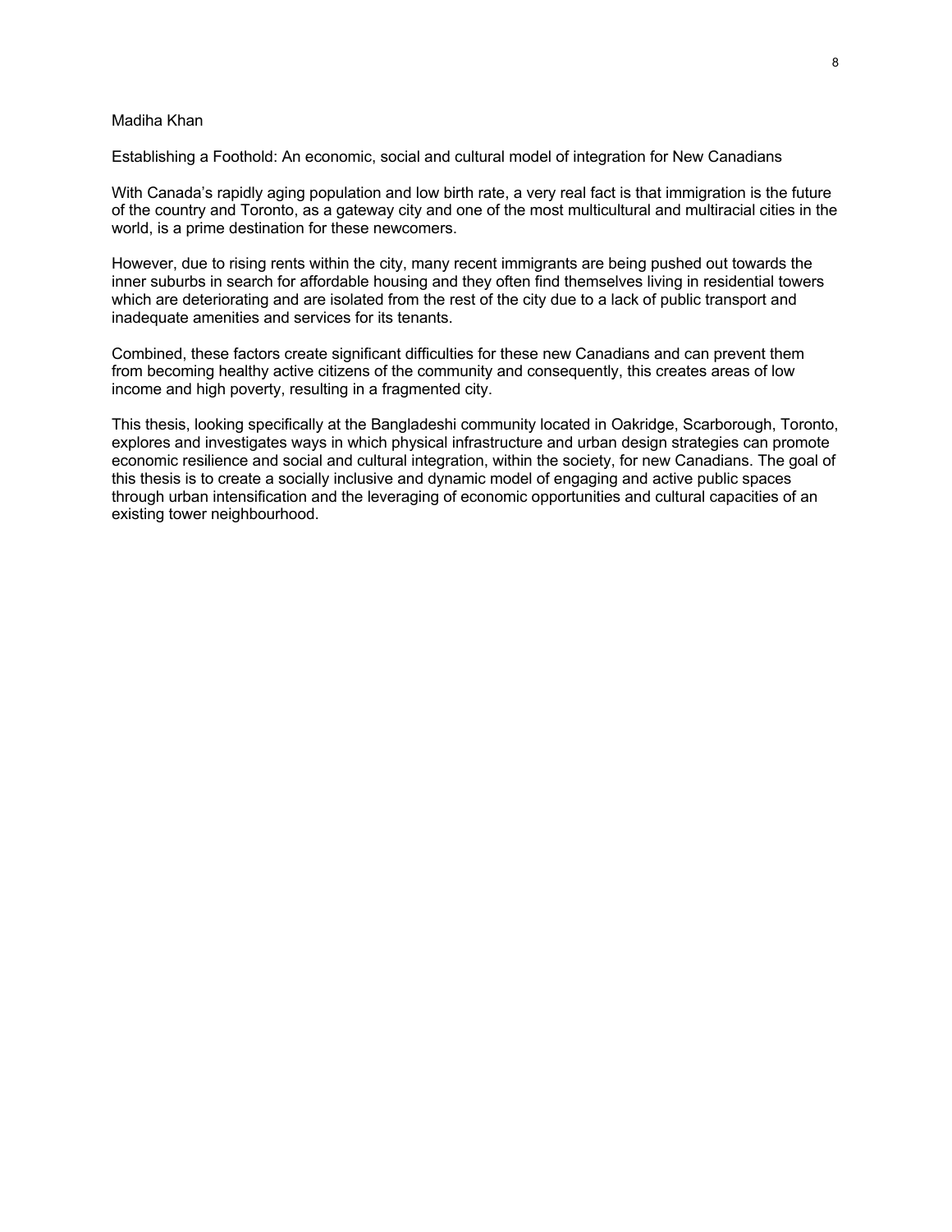# Madiha Khan

Establishing a Foothold: An economic, social and cultural model of integration for New Canadians

With Canada's rapidly aging population and low birth rate, a very real fact is that immigration is the future of the country and Toronto, as a gateway city and one of the most multicultural and multiracial cities in the world, is a prime destination for these newcomers.

However, due to rising rents within the city, many recent immigrants are being pushed out towards the inner suburbs in search for affordable housing and they often find themselves living in residential towers which are deteriorating and are isolated from the rest of the city due to a lack of public transport and inadequate amenities and services for its tenants.

Combined, these factors create significant difficulties for these new Canadians and can prevent them from becoming healthy active citizens of the community and consequently, this creates areas of low income and high poverty, resulting in a fragmented city.

This thesis, looking specifically at the Bangladeshi community located in Oakridge, Scarborough, Toronto, explores and investigates ways in which physical infrastructure and urban design strategies can promote economic resilience and social and cultural integration, within the society, for new Canadians. The goal of this thesis is to create a socially inclusive and dynamic model of engaging and active public spaces through urban intensification and the leveraging of economic opportunities and cultural capacities of an existing tower neighbourhood.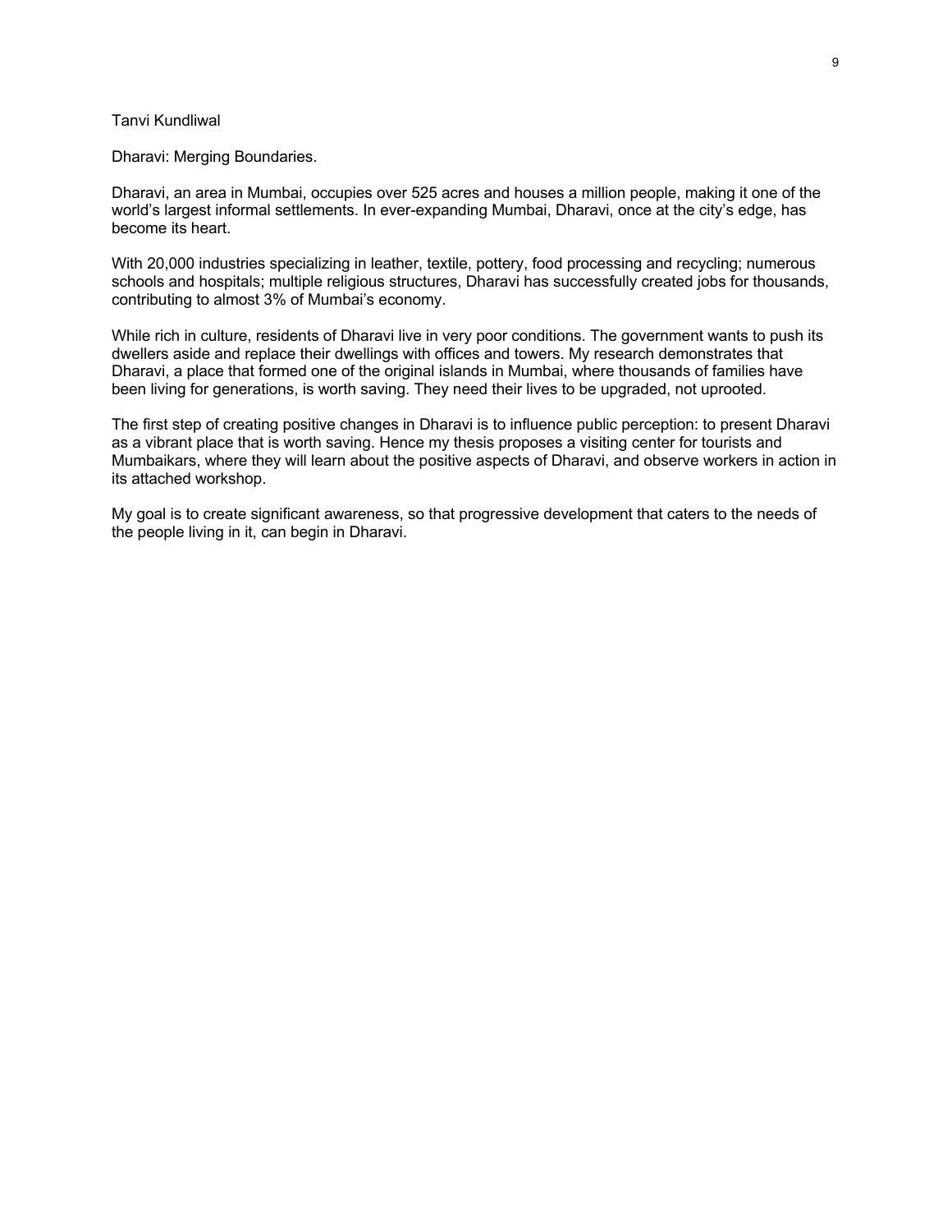### Tanvi Kundliwal

Dharavi: Merging Boundaries.

Dharavi, an area in Mumbai, occupies over 525 acres and houses a million people, making it one of the world's largest informal settlements. In ever-expanding Mumbai, Dharavi, once at the city's edge, has become its heart.

With 20,000 industries specializing in leather, textile, pottery, food processing and recycling; numerous schools and hospitals; multiple religious structures, Dharavi has successfully created jobs for thousands, contributing to almost 3% of Mumbai's economy.

While rich in culture, residents of Dharavi live in very poor conditions. The government wants to push its dwellers aside and replace their dwellings with offices and towers. My research demonstrates that Dharavi, a place that formed one of the original islands in Mumbai, where thousands of families have been living for generations, is worth saving. They need their lives to be upgraded, not uprooted.

The first step of creating positive changes in Dharavi is to influence public perception: to present Dharavi as a vibrant place that is worth saving. Hence my thesis proposes a visiting center for tourists and Mumbaikars, where they will learn about the positive aspects of Dharavi, and observe workers in action in its attached workshop.

My goal is to create significant awareness, so that progressive development that caters to the needs of the people living in it, can begin in Dharavi.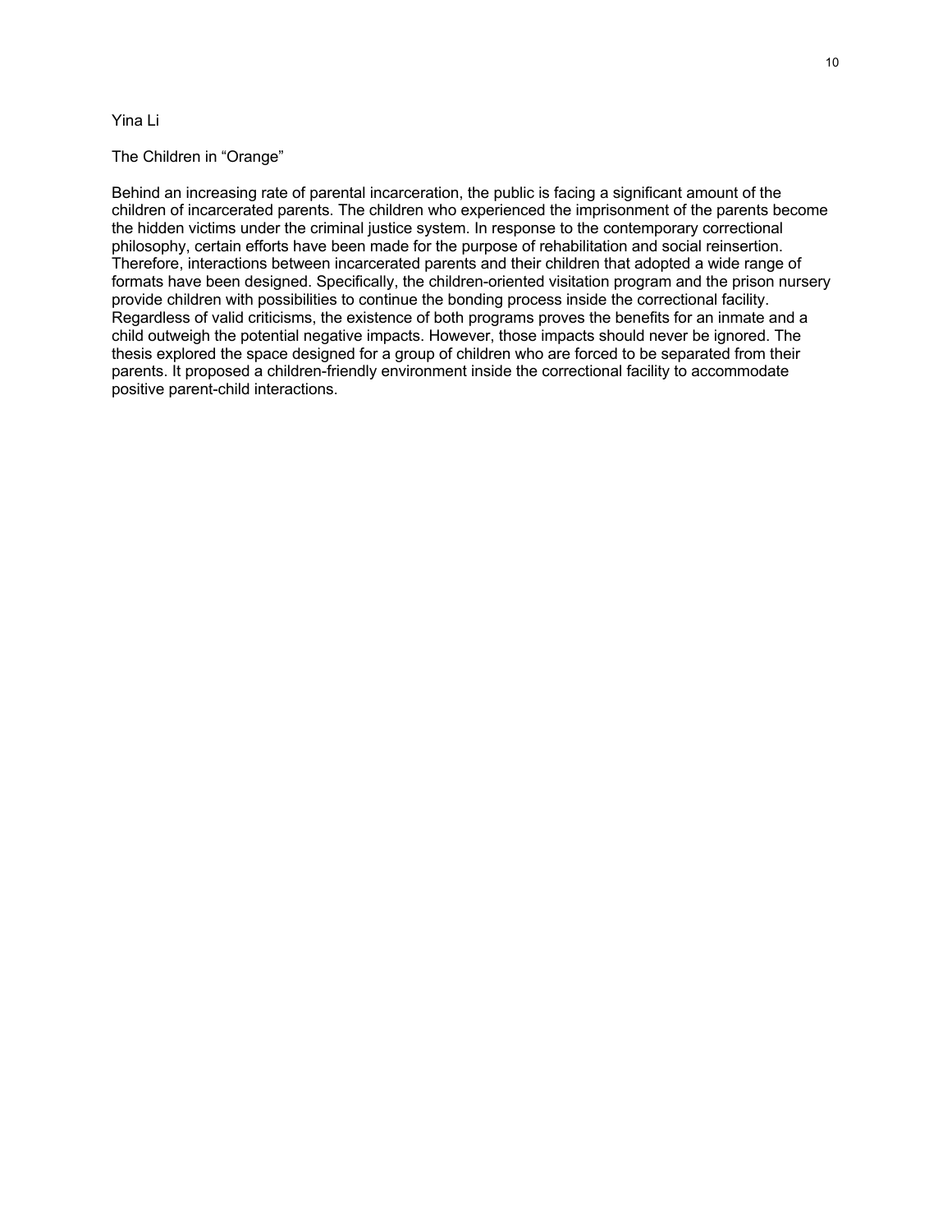# Yina Li

### The Children in "Orange"

Behind an increasing rate of parental incarceration, the public is facing a significant amount of the children of incarcerated parents. The children who experienced the imprisonment of the parents become the hidden victims under the criminal justice system. In response to the contemporary correctional philosophy, certain efforts have been made for the purpose of rehabilitation and social reinsertion. Therefore, interactions between incarcerated parents and their children that adopted a wide range of formats have been designed. Specifically, the children-oriented visitation program and the prison nursery provide children with possibilities to continue the bonding process inside the correctional facility. Regardless of valid criticisms, the existence of both programs proves the benefits for an inmate and a child outweigh the potential negative impacts. However, those impacts should never be ignored. The thesis explored the space designed for a group of children who are forced to be separated from their parents. It proposed a children-friendly environment inside the correctional facility to accommodate positive parent-child interactions.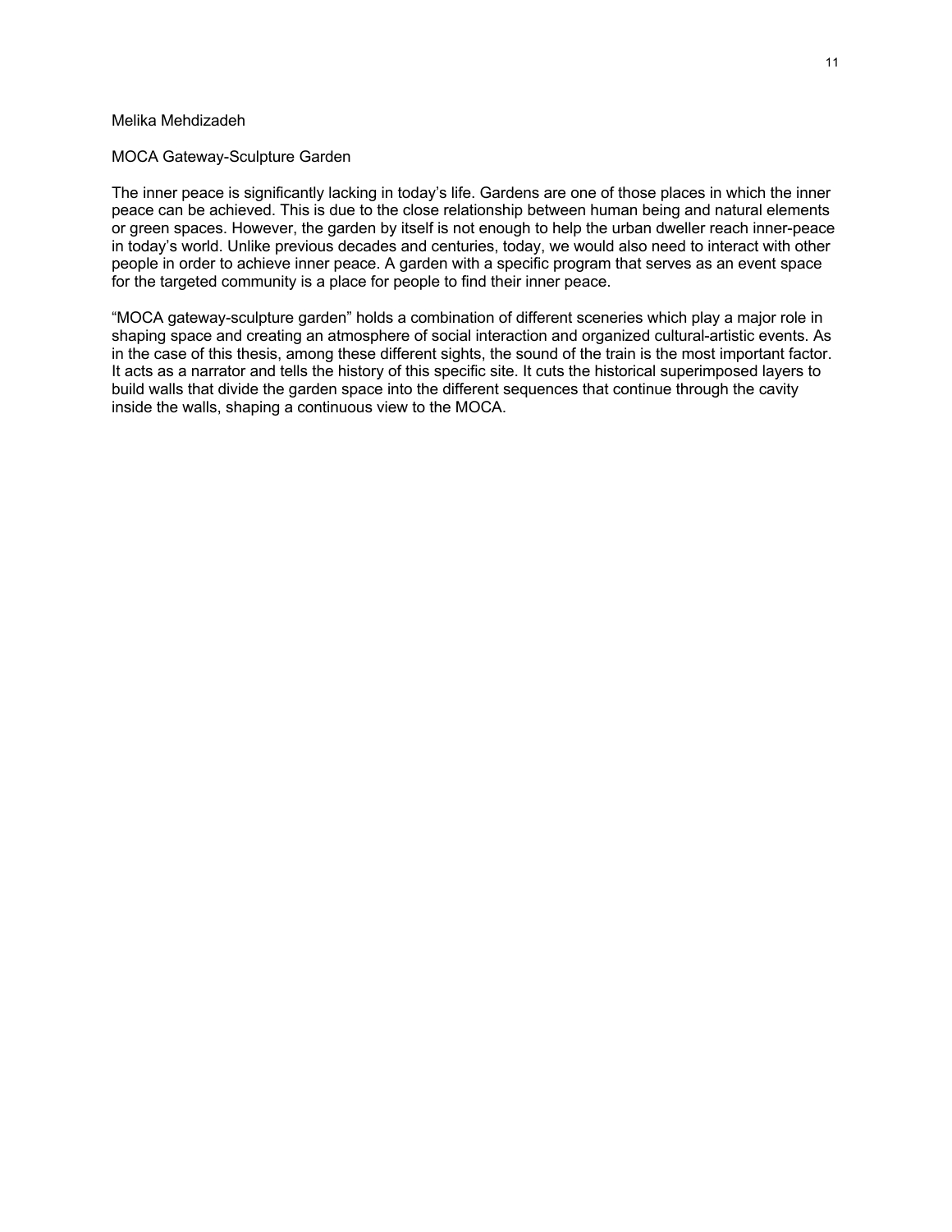# Melika Mehdizadeh

### MOCA Gateway-Sculpture Garden

The inner peace is significantly lacking in today's life. Gardens are one of those places in which the inner peace can be achieved. This is due to the close relationship between human being and natural elements or green spaces. However, the garden by itself is not enough to help the urban dweller reach inner-peace in today's world. Unlike previous decades and centuries, today, we would also need to interact with other people in order to achieve inner peace. A garden with a specific program that serves as an event space for the targeted community is a place for people to find their inner peace.

"MOCA gateway-sculpture garden" holds a combination of different sceneries which play a major role in shaping space and creating an atmosphere of social interaction and organized cultural-artistic events. As in the case of this thesis, among these different sights, the sound of the train is the most important factor. It acts as a narrator and tells the history of this specific site. It cuts the historical superimposed layers to build walls that divide the garden space into the different sequences that continue through the cavity inside the walls, shaping a continuous view to the MOCA.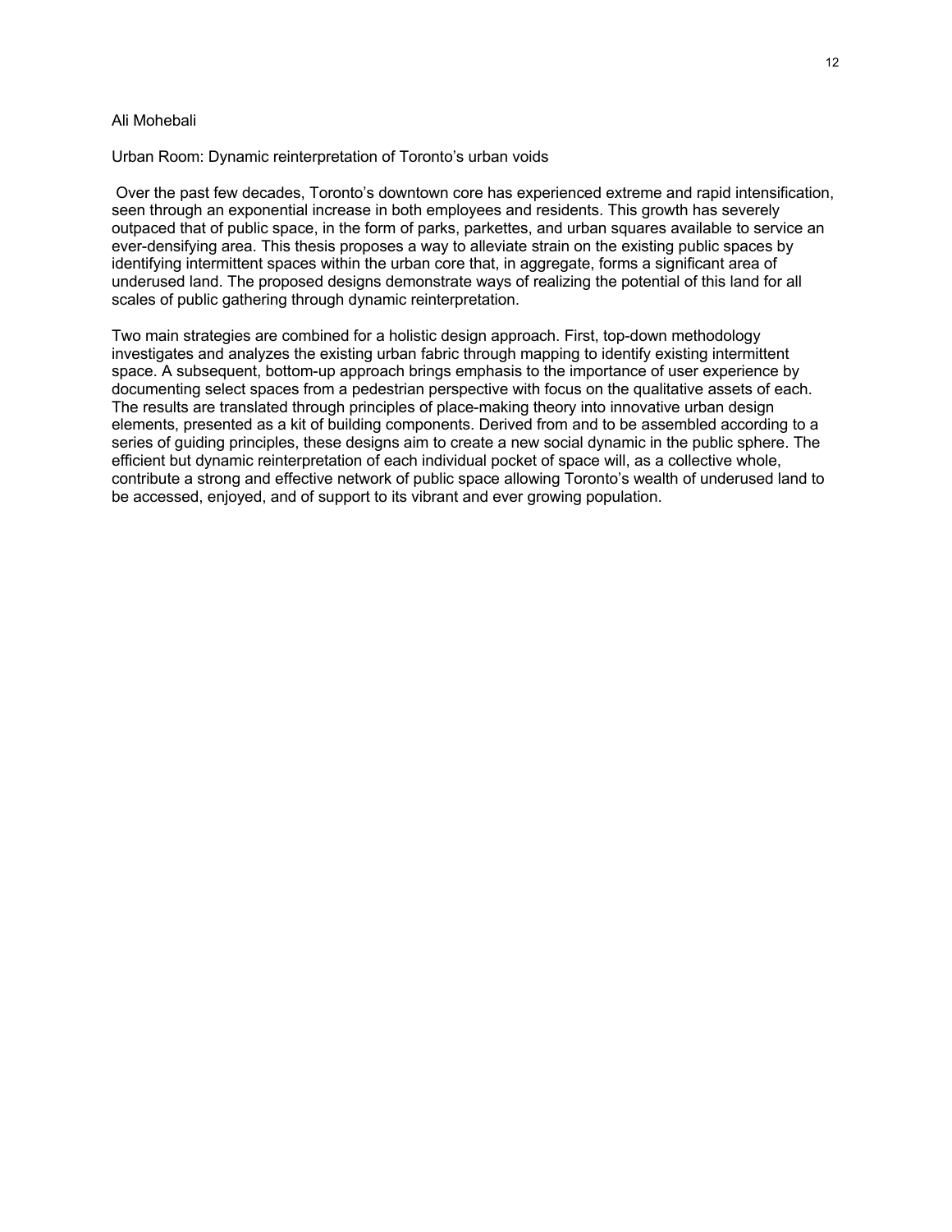#### Ali Mohebali

Urban Room: Dynamic reinterpretation of Toronto's urban voids

Over the past few decades, Toronto's downtown core has experienced extreme and rapid intensification, seen through an exponential increase in both employees and residents. This growth has severely outpaced that of public space, in the form of parks, parkettes, and urban squares available to service an ever-densifying area. This thesis proposes a way to alleviate strain on the existing public spaces by identifying intermittent spaces within the urban core that, in aggregate, forms a significant area of underused land. The proposed designs demonstrate ways of realizing the potential of this land for all scales of public gathering through dynamic reinterpretation.

Two main strategies are combined for a holistic design approach. First, top-down methodology investigates and analyzes the existing urban fabric through mapping to identify existing intermittent space. A subsequent, bottom-up approach brings emphasis to the importance of user experience by documenting select spaces from a pedestrian perspective with focus on the qualitative assets of each. The results are translated through principles of place-making theory into innovative urban design elements, presented as a kit of building components. Derived from and to be assembled according to a series of guiding principles, these designs aim to create a new social dynamic in the public sphere. The efficient but dynamic reinterpretation of each individual pocket of space will, as a collective whole, contribute a strong and effective network of public space allowing Toronto's wealth of underused land to be accessed, enjoyed, and of support to its vibrant and ever growing population.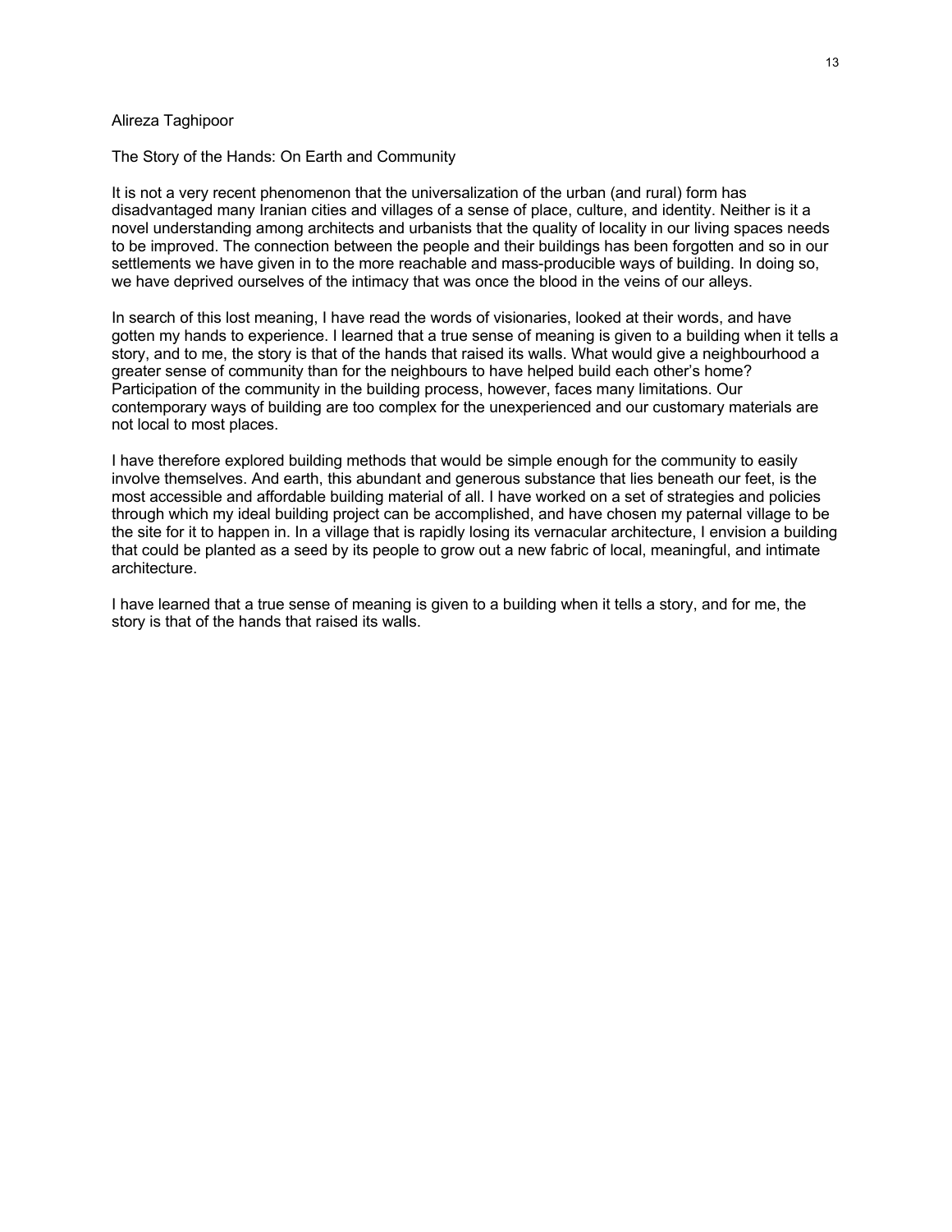### Alireza Taghipoor

#### The Story of the Hands: On Earth and Community

It is not a very recent phenomenon that the universalization of the urban (and rural) form has disadvantaged many Iranian cities and villages of a sense of place, culture, and identity. Neither is it a novel understanding among architects and urbanists that the quality of locality in our living spaces needs to be improved. The connection between the people and their buildings has been forgotten and so in our settlements we have given in to the more reachable and mass-producible ways of building. In doing so, we have deprived ourselves of the intimacy that was once the blood in the veins of our alleys.

In search of this lost meaning, I have read the words of visionaries, looked at their words, and have gotten my hands to experience. I learned that a true sense of meaning is given to a building when it tells a story, and to me, the story is that of the hands that raised its walls. What would give a neighbourhood a greater sense of community than for the neighbours to have helped build each other's home? Participation of the community in the building process, however, faces many limitations. Our contemporary ways of building are too complex for the unexperienced and our customary materials are not local to most places.

I have therefore explored building methods that would be simple enough for the community to easily involve themselves. And earth, this abundant and generous substance that lies beneath our feet, is the most accessible and affordable building material of all. I have worked on a set of strategies and policies through which my ideal building project can be accomplished, and have chosen my paternal village to be the site for it to happen in. In a village that is rapidly losing its vernacular architecture, I envision a building that could be planted as a seed by its people to grow out a new fabric of local, meaningful, and intimate architecture.

I have learned that a true sense of meaning is given to a building when it tells a story, and for me, the story is that of the hands that raised its walls.